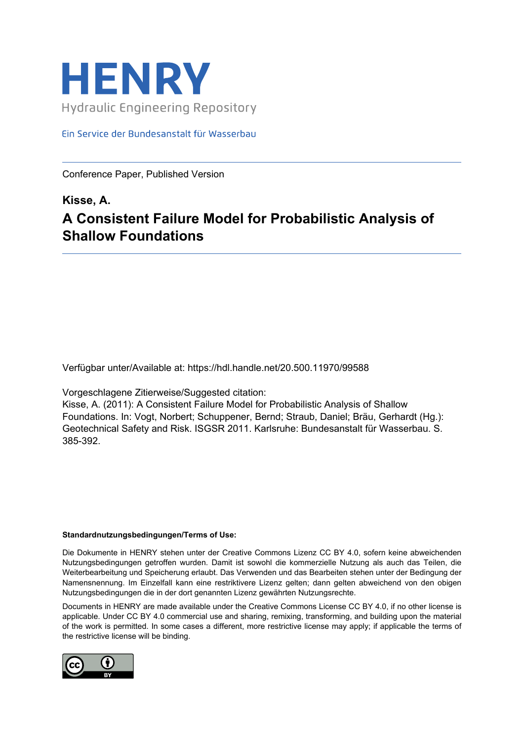

Ein Service der Bundesanstalt für Wasserbau

Conference Paper, Published Version

## **Kisse, A. A Consistent Failure Model for Probabilistic Analysis of Shallow Foundations**

Verfügbar unter/Available at: https://hdl.handle.net/20.500.11970/99588

Vorgeschlagene Zitierweise/Suggested citation:

Kisse, A. (2011): A Consistent Failure Model for Probabilistic Analysis of Shallow Foundations. In: Vogt, Norbert; Schuppener, Bernd; Straub, Daniel; Bräu, Gerhardt (Hg.): Geotechnical Safety and Risk. ISGSR 2011. Karlsruhe: Bundesanstalt für Wasserbau. S. 385-392.

#### **Standardnutzungsbedingungen/Terms of Use:**

Die Dokumente in HENRY stehen unter der Creative Commons Lizenz CC BY 4.0, sofern keine abweichenden Nutzungsbedingungen getroffen wurden. Damit ist sowohl die kommerzielle Nutzung als auch das Teilen, die Weiterbearbeitung und Speicherung erlaubt. Das Verwenden und das Bearbeiten stehen unter der Bedingung der Namensnennung. Im Einzelfall kann eine restriktivere Lizenz gelten; dann gelten abweichend von den obigen Nutzungsbedingungen die in der dort genannten Lizenz gewährten Nutzungsrechte.

Documents in HENRY are made available under the Creative Commons License CC BY 4.0, if no other license is applicable. Under CC BY 4.0 commercial use and sharing, remixing, transforming, and building upon the material of the work is permitted. In some cases a different, more restrictive license may apply; if applicable the terms of the restrictive license will be binding.

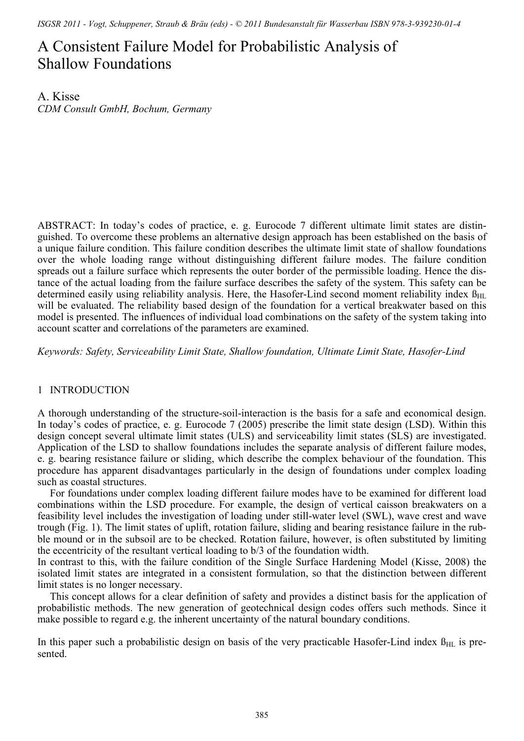*ISGSR 2011 - Vogt, Schuppener, Straub & Bräu (eds) - © 2011 Bundesanstalt für Wasserbau ISBN 978-3-939230-01-4* 

# A Consistent Failure Model for Probabilistic Analysis of Shallow Foundations

A. Kisse *CDM Consult GmbH, Bochum, Germany* 

ABSTRACT: In today's codes of practice, e. g. Eurocode 7 different ultimate limit states are distinguished. To overcome these problems an alternative design approach has been established on the basis of a unique failure condition. This failure condition describes the ultimate limit state of shallow foundations over the whole loading range without distinguishing different failure modes. The failure condition spreads out a failure surface which represents the outer border of the permissible loading. Hence the distance of the actual loading from the failure surface describes the safety of the system. This safety can be determined easily using reliability analysis. Here, the Hasofer-Lind second moment reliability index  $\beta_{\text{HL}}$ will be evaluated. The reliability based design of the foundation for a vertical breakwater based on this model is presented. The influences of individual load combinations on the safety of the system taking into account scatter and correlations of the parameters are examined.

*Keywords: Safety, Serviceability Limit State, Shallow foundation, Ultimate Limit State, Hasofer-Lind* 

## 1 INTRODUCTION

A thorough understanding of the structure-soil-interaction is the basis for a safe and economical design. In today's codes of practice, e. g. Eurocode 7 (2005) prescribe the limit state design (LSD). Within this design concept several ultimate limit states (ULS) and serviceability limit states (SLS) are investigated. Application of the LSD to shallow foundations includes the separate analysis of different failure modes, e. g. bearing resistance failure or sliding, which describe the complex behaviour of the foundation. This procedure has apparent disadvantages particularly in the design of foundations under complex loading such as coastal structures.

For foundations under complex loading different failure modes have to be examined for different load combinations within the LSD procedure. For example, the design of vertical caisson breakwaters on a feasibility level includes the investigation of loading under still-water level (SWL), wave crest and wave trough (Fig. 1). The limit states of uplift, rotation failure, sliding and bearing resistance failure in the rubble mound or in the subsoil are to be checked. Rotation failure, however, is often substituted by limiting the eccentricity of the resultant vertical loading to b/3 of the foundation width.

In contrast to this, with the failure condition of the Single Surface Hardening Model (Kisse, 2008) the isolated limit states are integrated in a consistent formulation, so that the distinction between different limit states is no longer necessary.

This concept allows for a clear definition of safety and provides a distinct basis for the application of probabilistic methods. The new generation of geotechnical design codes offers such methods. Since it make possible to regard e.g. the inherent uncertainty of the natural boundary conditions.

In this paper such a probabilistic design on basis of the very practicable Hasofer-Lind index  $\beta_{\text{HL}}$  is presented.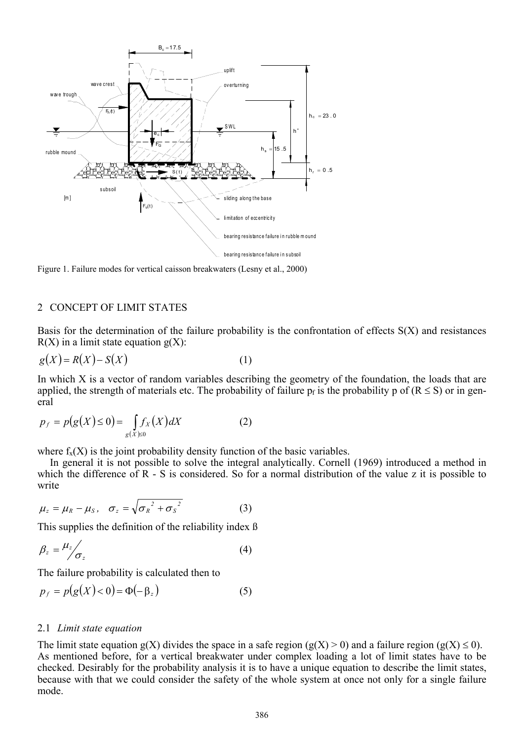

Figure 1. Failure modes for vertical caisson breakwaters (Lesny et al., 2000)

#### 2 CONCEPT OF LIMIT STATES

Basis for the determination of the failure probability is the confrontation of effects S(X) and resistances  $R(X)$  in a limit state equation  $g(X)$ :

$$
g(X) = R(X) - S(X)
$$
 (1)

In which X is a vector of random variables describing the geometry of the foundation, the loads that are applied, the strength of materials etc. The probability of failure  $p_f$  is the probability p of ( $R \le S$ ) or in general

$$
p_f = p(g(X) \le 0) = \int_{g(X) \ge 0} f_X(X) dX \tag{2}
$$

where  $f_{\rm v}(X)$  is the joint probability density function of the basic variables.

In general it is not possible to solve the integral analytically. Cornell (1969) introduced a method in which the difference of R - S is considered. So for a normal distribution of the value z it is possible to write

$$
\mu_z = \mu_R - \mu_S, \quad \sigma_z = \sqrt{{\sigma_R}^2 + {\sigma_S}^2}
$$
 (3)

This supplies the definition of the reliability index ß

$$
\beta_z = \frac{\mu_z}{\sigma_z} \tag{4}
$$

The failure probability is calculated then to

$$
p_f = p(g(X) < 0) = \Phi(-\beta_z) \tag{5}
$$

#### 2.1 *Limit state equation*

The limit state equation  $g(X)$  divides the space in a safe region  $(g(X) > 0)$  and a failure region  $(g(X) \le 0)$ . As mentioned before, for a vertical breakwater under complex loading a lot of limit states have to be checked. Desirably for the probability analysis it is to have a unique equation to describe the limit states, because with that we could consider the safety of the whole system at once not only for a single failure mode.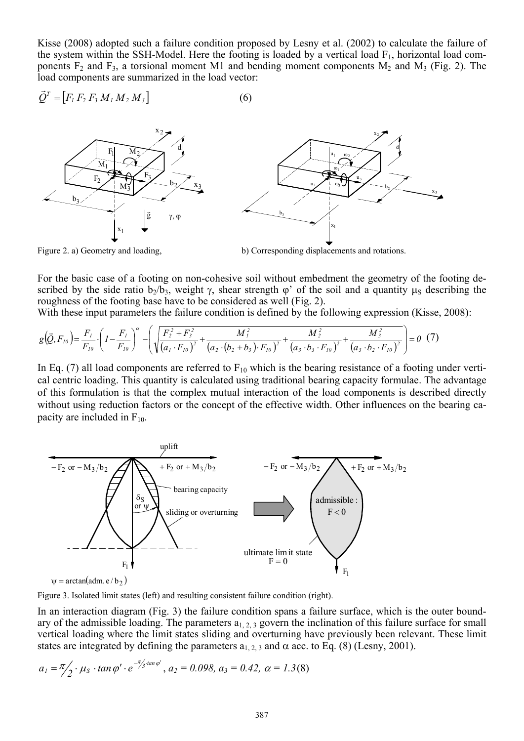Kisse (2008) adopted such a failure condition proposed by Lesny et al. (2002) to calculate the failure of the system within the SSH-Model. Here the footing is loaded by a vertical load  $F_1$ , horizontal load components  $F_2$  and  $F_3$ , a torsional moment M1 and bending moment components  $M_2$  and  $M_3$  (Fig. 2). The load components are summarized in the load vector:

$$
\vec{Q}^T = [F_1 F_2 F_3 M_1 M_2 M_3]
$$
 (6)



Figure 2. a) Geometry and loading, b) Corresponding displacements and rotations.

For the basic case of a footing on non-cohesive soil without embedment the geometry of the footing described by the side ratio  $b_2/b_3$ , weight  $\gamma$ , shear strength  $\varphi'$  of the soil and a quantity  $\mu_s$  describing the roughness of the footing base have to be considered as well (Fig. 2).

With these input parameters the failure condition is defined by the following expression (Kisse, 2008):

$$
g(\vec{Q},F_{10}) = \frac{F_1}{F_{10}} \cdot \left(1 - \frac{F_1}{F_{10}}\right)^{\alpha} - \left(\sqrt{\frac{F_2^2 + F_3^2}{(a_1 \cdot F_{10})^2} + \frac{M_1^2}{(a_2 \cdot (b_2 + b_3) \cdot F_{10})^2} + \frac{M_2^2}{(a_3 \cdot b_3 \cdot F_{10})^2} + \frac{M_3^2}{(a_3 \cdot b_2 \cdot F_{10})^2}}\right) = 0 \tag{7}
$$

In Eq. (7) all load components are referred to  $F_{10}$  which is the bearing resistance of a footing under vertical centric loading. This quantity is calculated using traditional bearing capacity formulae. The advantage of this formulation is that the complex mutual interaction of the load components is described directly without using reduction factors or the concept of the effective width. Other influences on the bearing capacity are included in  $F_{10}$ .



 $\psi = \arctan(\text{adm.} e/b_2)$ 

Figure 3. Isolated limit states (left) and resulting consistent failure condition (right).

In an interaction diagram (Fig. 3) the failure condition spans a failure surface, which is the outer boundary of the admissible loading. The parameters  $a_{1,2,3}$  govern the inclination of this failure surface for small vertical loading where the limit states sliding and overturning have previously been relevant. These limit states are integrated by defining the parameters  $a_{1,2,3}$  and  $\alpha$  acc. to Eq. (8) (Lesny, 2001).

$$
a_1 = \frac{\pi}{2} \cdot \mu_s \cdot \tan \varphi' \cdot e^{-\frac{\pi}{3} \cdot \tan \varphi'}, a_2 = 0.098, a_3 = 0.42, \alpha = 1.3(8)
$$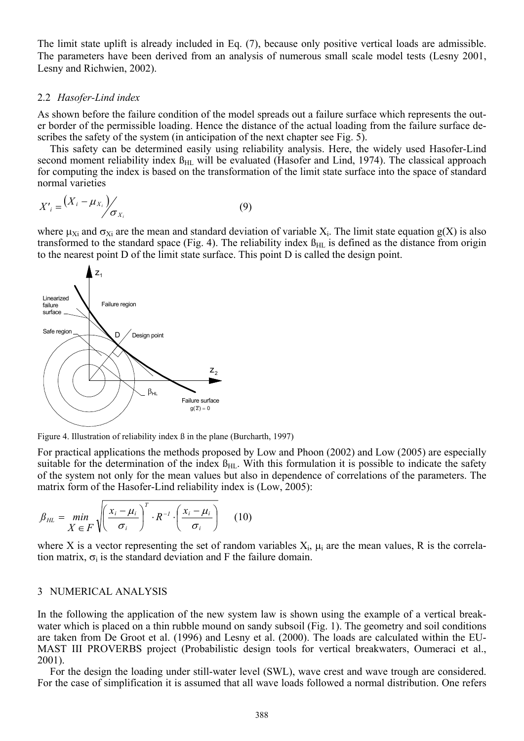The limit state uplift is already included in Eq. (7), because only positive vertical loads are admissible. The parameters have been derived from an analysis of numerous small scale model tests (Lesny 2001, Lesny and Richwien, 2002).

#### 2.2 *Hasofer-Lind index*

As shown before the failure condition of the model spreads out a failure surface which represents the outer border of the permissible loading. Hence the distance of the actual loading from the failure surface describes the safety of the system (in anticipation of the next chapter see Fig. 5).

This safety can be determined easily using reliability analysis. Here, the widely used Hasofer-Lind second moment reliability index  $\beta_{HL}$  will be evaluated (Hasofer and Lind, 1974). The classical approach for computing the index is based on the transformation of the limit state surface into the space of standard normal varieties

$$
X'_{i} = \left(X_{i} - \mu_{X_{i}}\right) / \sigma_{X_{i}} \tag{9}
$$

where  $\mu_{Xi}$  and  $\sigma_{Xi}$  are the mean and standard deviation of variable X<sub>i</sub>. The limit state equation g(X) is also transformed to the standard space (Fig. 4). The reliability index  $\beta_{HL}$  is defined as the distance from origin to the nearest point D of the limit state surface. This point D is called the design point.



Figure 4. Illustration of reliability index ß in the plane (Burcharth, 1997)

For practical applications the methods proposed by Low and Phoon (2002) and Low (2005) are especially suitable for the determination of the index  $B_{HL}$ . With this formulation it is possible to indicate the safety of the system not only for the mean values but also in dependence of correlations of the parameters. The matrix form of the Hasofer-Lind reliability index is (Low, 2005):

$$
\beta_{HL} = \min_{X \in F} \sqrt{\left(\frac{x_i - \mu_i}{\sigma_i}\right)^T \cdot R^{-1} \cdot \left(\frac{x_i - \mu_i}{\sigma_i}\right)}
$$
(10)

where X is a vector representing the set of random variables  $X_i$ ,  $\mu_i$  are the mean values, R is the correlation matrix,  $\sigma_i$  is the standard deviation and F the failure domain.

#### 3 NUMERICAL ANALYSIS

In the following the application of the new system law is shown using the example of a vertical breakwater which is placed on a thin rubble mound on sandy subsoil (Fig. 1). The geometry and soil conditions are taken from De Groot et al. (1996) and Lesny et al. (2000). The loads are calculated within the EU-MAST III PROVERBS project (Probabilistic design tools for vertical breakwaters, Oumeraci et al., 2001).

For the design the loading under still-water level (SWL), wave crest and wave trough are considered. For the case of simplification it is assumed that all wave loads followed a normal distribution. One refers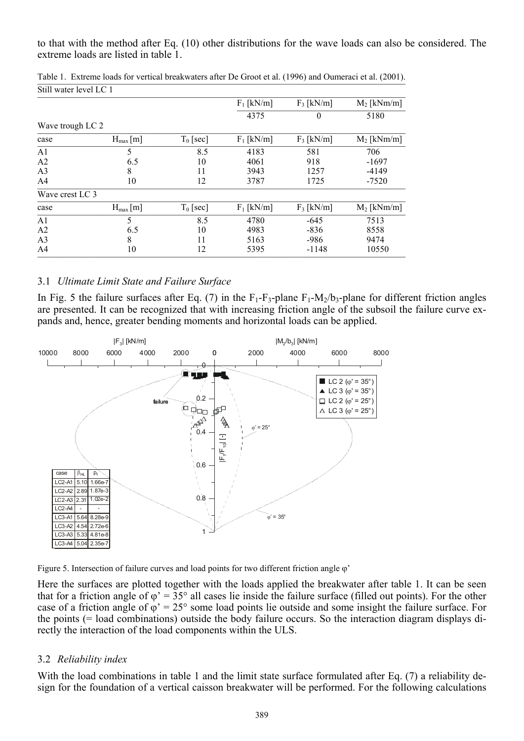to that with the method after Eq. (10) other distributions for the wave loads can also be considered. The extreme loads are listed in table 1.

| SUII WATCH JEVEL LU T |              |             |              |              |               |
|-----------------------|--------------|-------------|--------------|--------------|---------------|
|                       |              |             | $F_1$ [kN/m] | $F_3$ [kN/m] | $M_2$ [kNm/m] |
|                       |              |             | 4375         | $\theta$     | 5180          |
| Wave trough LC 2      |              |             |              |              |               |
| case                  | $H_{max}[m]$ | $T_0$ [sec] | $F_1$ [kN/m] | $F_3$ [kN/m] | $M_2$ [kNm/m] |
| A <sub>1</sub>        | 5            | 8.5         | 4183         | 581          | 706           |
| A <sub>2</sub>        | 6.5          | 10          | 4061         | 918          | $-1697$       |
| A <sub>3</sub>        | 8            | 11          | 3943         | 1257         | $-4149$       |
| A <sub>4</sub>        | 10           | 12          | 3787         | 1725         | $-7520$       |
| Wave crest LC 3       |              |             |              |              |               |
| case                  | $H_{max}[m]$ | $T_0$ [sec] | $F_1$ [kN/m] | $F_3$ [kN/m] | $M_2$ [kNm/m] |
| A <sub>1</sub>        | 5            | 8.5         | 4780         | $-645$       | 7513          |
| A2                    | 6.5          | 10          | 4983         | $-836$       | 8558          |
| A <sub>3</sub>        | 8            | 11          | 5163         | $-986$       | 9474          |
| A <sub>4</sub>        | 10           | 12          | 5395         | -1148        | 10550         |

Table 1. Extreme loads for vertical breakwaters after De Groot et al. (1996) and Oumeraci et al. (2001).  $\sqrt{\frac{C+11}{C+1}}$  water level LC 1

## 3.1 *Ultimate Limit State and Failure Surface*

In Fig. 5 the failure surfaces after Eq. (7) in the  $F_1-F_3$ -plane  $F_1-M_2/b_3$ -plane for different friction angles are presented. It can be recognized that with increasing friction angle of the subsoil the failure curve expands and, hence, greater bending moments and horizontal loads can be applied.



Figure 5. Intersection of failure curves and load points for two different friction angle  $\varphi$ '

Here the surfaces are plotted together with the loads applied the breakwater after table 1. It can be seen that for a friction angle of  $\varphi' = 35^\circ$  all cases lie inside the failure surface (filled out points). For the other case of a friction angle of  $\varphi$ ' = 25° some load points lie outside and some insight the failure surface. For the points (= load combinations) outside the body failure occurs. So the interaction diagram displays directly the interaction of the load components within the ULS.

## 3.2 *Reliability index*

With the load combinations in table 1 and the limit state surface formulated after Eq. (7) a reliability design for the foundation of a vertical caisson breakwater will be performed. For the following calculations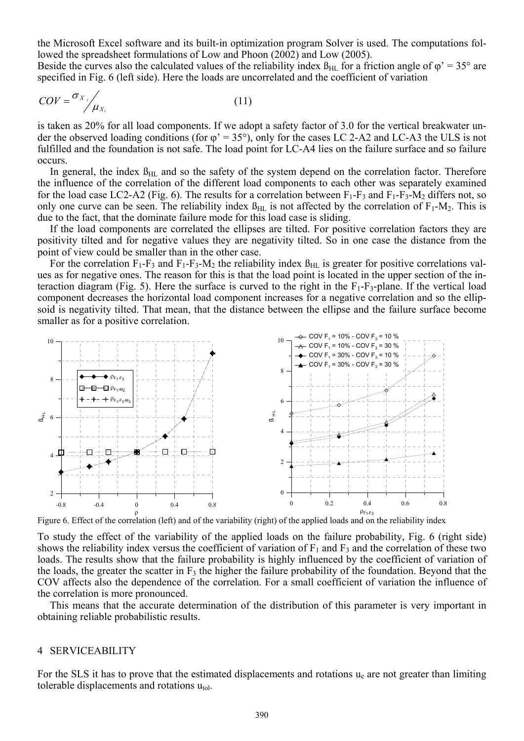the Microsoft Excel software and its built-in optimization program Solver is used. The computations followed the spreadsheet formulations of Low and Phoon (2002) and Low (2005).

Beside the curves also the calculated values of the reliability index  $\beta_{HL}$  for a friction angle of  $\varphi' = 35^\circ$  are specified in Fig. 6 (left side). Here the loads are uncorrelated and the coefficient of variation

$$
COV = \frac{\sigma_{X_i}}{\mu_{X_i}} \tag{11}
$$

is taken as 20% for all load components. If we adopt a safety factor of 3.0 for the vertical breakwater under the observed loading conditions (for  $\varphi' = 35^{\circ}$ ), only for the cases LC 2-A2 and LC-A3 the ULS is not fulfilled and the foundation is not safe. The load point for LC-A4 lies on the failure surface and so failure occurs.

In general, the index  $\beta_{\text{HL}}$  and so the safety of the system depend on the correlation factor. Therefore the influence of the correlation of the different load components to each other was separately examined for the load case LC2-A2 (Fig. 6). The results for a correlation between  $F_1-F_3$  and  $F_1-F_3-M_2$  differs not, so only one curve can be seen. The reliability index  $\beta_{HL}$  is not affected by the correlation of  $F_1-M_2$ . This is due to the fact, that the dominate failure mode for this load case is sliding.

If the load components are correlated the ellipses are tilted. For positive correlation factors they are positivity tilted and for negative values they are negativity tilted. So in one case the distance from the point of view could be smaller than in the other case.

For the correlation  $F_1-F_3$  and  $F_1-F_3-M_2$  the reliability index  $\beta_{HL}$  is greater for positive correlations values as for negative ones. The reason for this is that the load point is located in the upper section of the interaction diagram (Fig. 5). Here the surface is curved to the right in the  $F_1-F_3$ -plane. If the vertical load component decreases the horizontal load component increases for a negative correlation and so the ellipsoid is negativity tilted. That mean, that the distance between the ellipse and the failure surface become smaller as for a positive correlation.



Figure 6. Effect of the correlation (left) and of the variability (right) of the applied loads and on the reliability index

To study the effect of the variability of the applied loads on the failure probability, Fig. 6 (right side) shows the reliability index versus the coefficient of variation of  $F_1$  and  $F_3$  and the correlation of these two loads. The results show that the failure probability is highly influenced by the coefficient of variation of the loads, the greater the scatter in  $F_3$  the higher the failure probability of the foundation. Beyond that the COV affects also the dependence of the correlation. For a small coefficient of variation the influence of the correlation is more pronounced.

This means that the accurate determination of the distribution of this parameter is very important in obtaining reliable probabilistic results.

#### 4 SERVICEABILITY

For the SLS it has to prove that the estimated displacements and rotations ue are not greater than limiting tolerable displacements and rotations  $u_{\text{tol}}$ .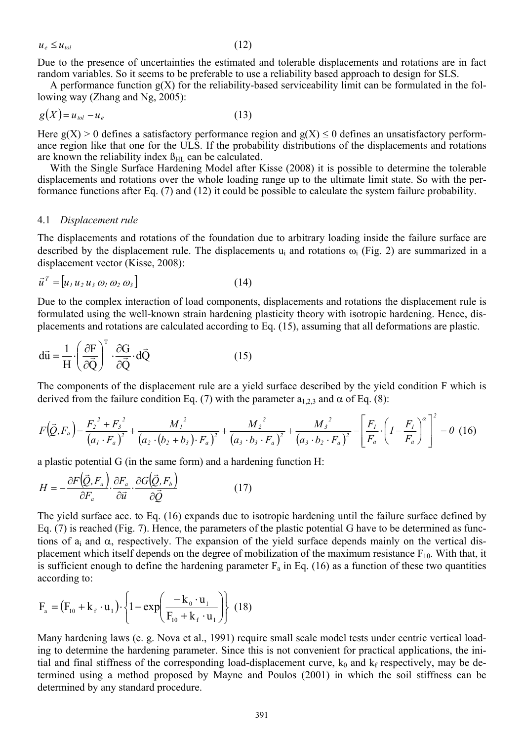$u_e \le u_{tol}$  (12)

Due to the presence of uncertainties the estimated and tolerable displacements and rotations are in fact random variables. So it seems to be preferable to use a reliability based approach to design for SLS.

A performance function  $g(X)$  for the reliability-based serviceability limit can be formulated in the following way (Zhang and Ng, 2005):

$$
g(X) = u_{tol} - u_e \tag{13}
$$

Here  $g(X) > 0$  defines a satisfactory performance region and  $g(X) \le 0$  defines an unsatisfactory performance region like that one for the ULS. If the probability distributions of the displacements and rotations are known the reliability index  $\beta_{HL}$  can be calculated.

With the Single Surface Hardening Model after Kisse (2008) it is possible to determine the tolerable displacements and rotations over the whole loading range up to the ultimate limit state. So with the performance functions after Eq. (7) and (12) it could be possible to calculate the system failure probability.

#### 4.1 *Displacement rule*

The displacements and rotations of the foundation due to arbitrary loading inside the failure surface are described by the displacement rule. The displacements  $u_i$  and rotations  $\omega_i$  (Fig. 2) are summarized in a displacement vector (Kisse, 2008):

$$
\vec{u}^T = [u_1 u_2 u_3 \omega_1 \omega_2 \omega_3]
$$
 (14)

Due to the complex interaction of load components, displacements and rotations the displacement rule is formulated using the well-known strain hardening plasticity theory with isotropic hardening. Hence, displacements and rotations are calculated according to Eq. (15), assuming that all deformations are plastic.

$$
d\vec{u} = \frac{1}{H} \cdot \left(\frac{\partial F}{\partial \vec{Q}}\right)^{T} \cdot \frac{\partial G}{\partial \vec{Q}} \cdot d\vec{Q}
$$
 (15)

The components of the displacement rule are a yield surface described by the yield condition F which is derived from the failure condition Eq. (7) with the parameter  $a_{1,2,3}$  and  $\alpha$  of Eq. (8):

$$
F(\vec{Q},F_a) = \frac{F_2^2 + F_3^2}{(a_1 \cdot F_a)^2} + \frac{M_1^2}{(a_2 \cdot (b_2 + b_3) \cdot F_a)^2} + \frac{M_2^2}{(a_3 \cdot b_3 \cdot F_a)^2} + \frac{M_3^2}{(a_3 \cdot b_2 \cdot F_a)^2} - \left[ \frac{F_1}{F_a} \cdot \left( I - \frac{F_1}{F_a} \right)^{\alpha} \right]^2 = 0 \tag{16}
$$

a plastic potential G (in the same form) and a hardening function H:

$$
H = -\frac{\partial F(\vec{Q}, F_a)}{\partial F_a} \cdot \frac{\partial F_a}{\partial \vec{u}} \cdot \frac{\partial G(\vec{Q}, F_b)}{\partial \vec{Q}}
$$
(17)

The yield surface acc. to Eq. (16) expands due to isotropic hardening until the failure surface defined by Eq. (7) is reached (Fig. 7). Hence, the parameters of the plastic potential G have to be determined as functions of  $a_i$  and  $\alpha$ , respectively. The expansion of the yield surface depends mainly on the vertical displacement which itself depends on the degree of mobilization of the maximum resistance  $F_{10}$ . With that, it is sufficient enough to define the hardening parameter  $F_a$  in Eq. (16) as a function of these two quantities according to:

$$
F_{a} = (F_{10} + k_{f} \cdot u_{1}) \cdot \left\{ 1 - \exp\left(\frac{-k_{0} \cdot u_{1}}{F_{10} + k_{f} \cdot u_{1}}\right) \right\}
$$
 (18)

Many hardening laws (e. g. Nova et al., 1991) require small scale model tests under centric vertical loading to determine the hardening parameter. Since this is not convenient for practical applications, the initial and final stiffness of the corresponding load-displacement curve,  $k_0$  and  $k_f$  respectively, may be determined using a method proposed by Mayne and Poulos (2001) in which the soil stiffness can be determined by any standard procedure.